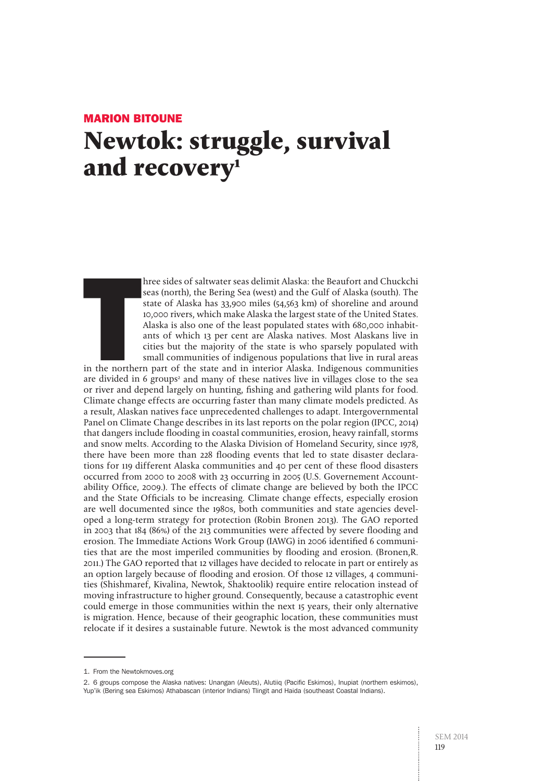# Marion BITOUNE **Newtok: struggle, survival**  and recovery<sup>1</sup>

hree sides of saltwater seas delimit Alaska: the Beaufort and Chuckchi seas (north), the Bering Sea (west) and the Gulf of Alaska (south). The state of Alaska has 33,900 miles (54,563 km) of shoreline and around 10,000 rivers, which make Alaska the largest state of the United States. Alaska is also one of the least populated states with 680,000 inhabitants of which 13 per cent are Alaska natives. Most Alaskans live in cities but the majority of the state is who sparsely populated with small communities of indigenous populations that live in rural areas

The morther<br>The morther<br>The divided in in the northern part of the state and in interior Alaska. Indigenous communities are divided in 6 groups<sup>2</sup> and many of these natives live in villages close to the sea or river and depend largely on hunting, fishing and gathering wild plants for food. Climate change effects are occurring faster than many climate models predicted. As a result, Alaskan natives face unprecedented challenges to adapt. Intergovernmental Panel on Climate Change describes in its last reports on the polar region (IPCC, 2014) that dangers include flooding in coastal communities, erosion, heavy rainfall, storms and snow melts. According to the Alaska Division of Homeland Security, since 1978, there have been more than 228 flooding events that led to state disaster declarations for 119 different Alaska communities and 40 per cent of these flood disasters occurred from 2000 to 2008 with 23 occurring in 2005 (U.S. Governement Accountability Office, 2009.). The effects of climate change are believed by both the IPCC and the State Officials to be increasing. Climate change effects, especially erosion are well documented since the 1980s, both communities and state agencies developed a long-term strategy for protection (Robin Bronen 2013). The GAO reported in 2003 that 184 (86%) of the 213 communities were affected by severe flooding and erosion. The Immediate Actions Work Group (IAWG) in 2006 identified 6 communities that are the most imperiled communities by flooding and erosion. (Bronen,R. 2011.) The GAO reported that 12 villages have decided to relocate in part or entirely as an option largely because of flooding and erosion. Of those 12 villages, 4 communities (Shishmaref, Kivalina, Newtok, Shaktoolik) require entire relocation instead of moving infrastructure to higher ground. Consequently, because a catastrophic event could emerge in those communities within the next 15 years, their only alternative is migration. Hence, because of their geographic location, these communities must relocate if it desires a sustainable future. Newtok is the most advanced community

<sup>1.</sup> From the Newtokmoves.org

<sup>2.</sup> 6 groups compose the Alaska natives: Unangan (Aleuts), Alutiiq (Pacific Eskimos), Inupiat (northern eskimos), Yup'ik (Bering sea Eskimos) Athabascan (interior Indians) Tlingit and Haida (southeast Coastal Indians).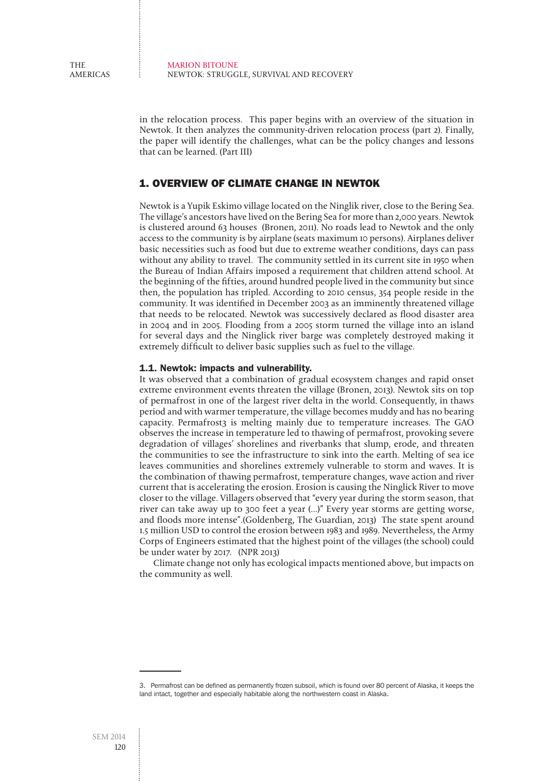in the relocation process. This paper begins with an overview of the situation in Newtok. It then analyzes the community-driven relocation process (part 2). Finally, the paper will identify the challenges, what can be the policy changes and lessons that can be learned. (Part III)

# 1. Overview of climate change in Newtok

Newtok is a Yupik Eskimo village located on the Ninglik river, close to the Bering Sea. The village's ancestors have lived on the Bering Sea for more than 2,000 years. Newtok is clustered around 63 houses (Bronen, 2011). No roads lead to Newtok and the only access to the community is by airplane (seats maximum 10 persons). Airplanes deliver basic necessities such as food but due to extreme weather conditions, days can pass without any ability to travel. The community settled in its current site in 1950 when the Bureau of Indian Affairs imposed a requirement that children attend school. At the beginning of the fifties, around hundred people lived in the community but since then, the population has tripled. According to 2010 census, 354 people reside in the community. It was identified in December 2003 as an imminently threatened village that needs to be relocated. Newtok was successively declared as flood disaster area in 2004 and in 2005. Flooding from a 2005 storm turned the village into an island for several days and the Ninglick river barge was completely destroyed making it extremely difficult to deliver basic supplies such as fuel to the village.

#### 1.1. Newtok: impacts and vulnerability.

It was observed that a combination of gradual ecosystem changes and rapid onset extreme environment events threaten the village (Bronen, 2013). Newtok sits on top of permafrost in one of the largest river delta in the world. Consequently, in thaws period and with warmer temperature, the village becomes muddy and has no bearing capacity. Permafrost3 is melting mainly due to temperature increases. The GAO observes the increase in temperature led to thawing of permafrost, provoking severe degradation of villages' shorelines and riverbanks that slump, erode, and threaten the communities to see the infrastructure to sink into the earth. Melting of sea ice leaves communities and shorelines extremely vulnerable to storm and waves. It is the combination of thawing permafrost, temperature changes, wave action and river current that is accelerating the erosion. Erosion is causing the Ninglick River to move closer to the village. Villagers observed that "every year during the storm season, that river can take away up to 300 feet a year (…)" Every year storms are getting worse, and floods more intense".(Goldenberg, The Guardian, 2013) The state spent around 1.5 million USD to control the erosion between 1983 and 1989. Nevertheless, the Army Corps of Engineers estimated that the highest point of the villages (the school) could be under water by 2017. (NPR 2013)

Climate change not only has ecological impacts mentioned above, but impacts on the community as well.

<sup>3.</sup> Permafrost can be defined as permanently frozen subsoil, which is found over 80 percent of Alaska, it keeps the land intact, together and especially habitable along the northwestern coast in Alaska.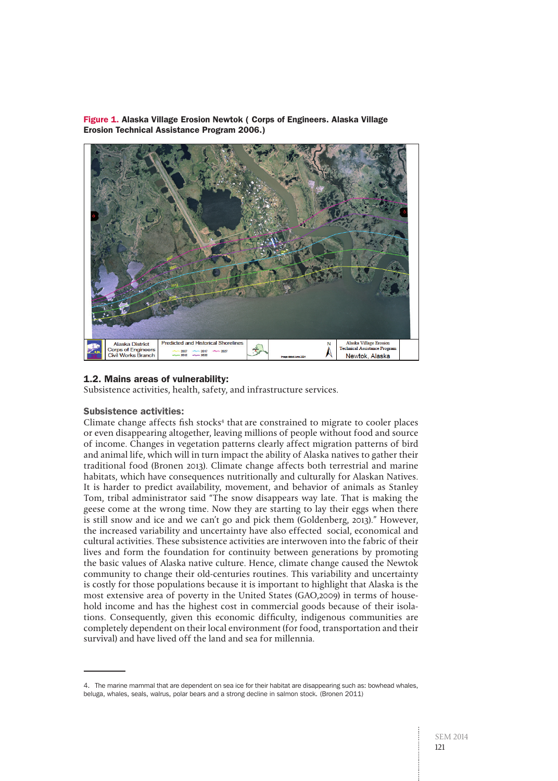Figure 1. Alaska Village Erosion Newtok ( Corps of Engineers. Alaska Village Erosion Technical Assistance Program 2006.)



# 1.2. Mains areas of vulnerability:

Subsistence activities, health, safety, and infrastructure services.

## Subsistence activities:

Climate change affects fish stocks<sup>4</sup> that are constrained to migrate to cooler places or even disappearing altogether, leaving millions of people without food and source of income. Changes in vegetation patterns clearly affect migration patterns of bird and animal life, which will in turn impact the ability of Alaska natives to gather their traditional food (Bronen 2013). Climate change affects both terrestrial and marine habitats, which have consequences nutritionally and culturally for Alaskan Natives. It is harder to predict availability, movement, and behavior of animals as Stanley Tom, tribal administrator said "The snow disappears way late. That is making the geese come at the wrong time. Now they are starting to lay their eggs when there is still snow and ice and we can't go and pick them (Goldenberg, 2013)." However, the increased variability and uncertainty have also effected social, economical and cultural activities. These subsistence activities are interwoven into the fabric of their lives and form the foundation for continuity between generations by promoting the basic values of Alaska native culture. Hence, climate change caused the Newtok community to change their old-centuries routines. This variability and uncertainty is costly for those populations because it is important to highlight that Alaska is the most extensive area of poverty in the United States (GAO,2009) in terms of household income and has the highest cost in commercial goods because of their isolations. Consequently, given this economic difficulty, indigenous communities are completely dependent on their local environment (for food, transportation and their survival) and have lived off the land and sea for millennia.

<sup>4.</sup> The marine mammal that are dependent on sea ice for their habitat are disappearing such as: bowhead whales, beluga, whales, seals, walrus, polar bears and a strong decline in salmon stock. (Bronen 2011)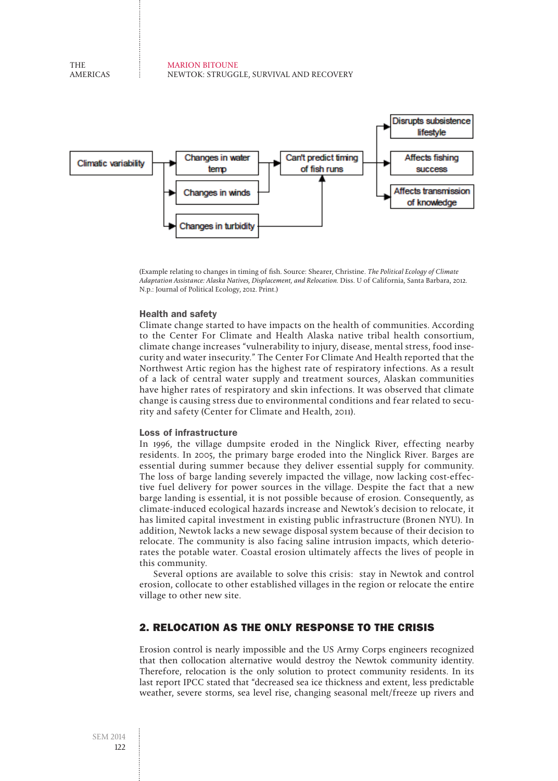

(Example relating to changes in timing of fish. Source: Shearer, Christine. The Political Ecology of Climate Adaptation Assistance: Alaska Natives, Displacement, and Relocation. Diss. U of California, Santa Barbara, 2012. N.p.: Journal of Political Ecology, 2012. Print.)

## Health and safety

Climate change started to have impacts on the health of communities. According to the Center For Climate and Health Alaska native tribal health consortium, climate change increases "vulnerability to injury, disease, mental stress, food insecurity and water insecurity." The Center For Climate And Health reported that the Northwest Artic region has the highest rate of respiratory infections. As a result of a lack of central water supply and treatment sources, Alaskan communities have higher rates of respiratory and skin infections. It was observed that climate change is causing stress due to environmental conditions and fear related to security and safety (Center for Climate and Health, 2011).

#### Loss of infrastructure

In 1996, the village dumpsite eroded in the Ninglick River, effecting nearby residents. In 2005, the primary barge eroded into the Ninglick River. Barges are essential during summer because they deliver essential supply for community. The loss of barge landing severely impacted the village, now lacking cost-effective fuel delivery for power sources in the village. Despite the fact that a new barge landing is essential, it is not possible because of erosion. Consequently, as climate-induced ecological hazards increase and Newtok's decision to relocate, it has limited capital investment in existing public infrastructure (Bronen NYU). In addition, Newtok lacks a new sewage disposal system because of their decision to relocate. The community is also facing saline intrusion impacts, which deteriorates the potable water. Coastal erosion ultimately affects the lives of people in this community.

Several options are available to solve this crisis: stay in Newtok and control erosion, collocate to other established villages in the region or relocate the entire village to other new site.

## 2. Relocation as the only response to the crisis

Erosion control is nearly impossible and the US Army Corps engineers recognized that then collocation alternative would destroy the Newtok community identity. Therefore, relocation is the only solution to protect community residents. In its last report IPCC stated that "decreased sea ice thickness and extent, less predictable weather, severe storms, sea level rise, changing seasonal melt/freeze up rivers and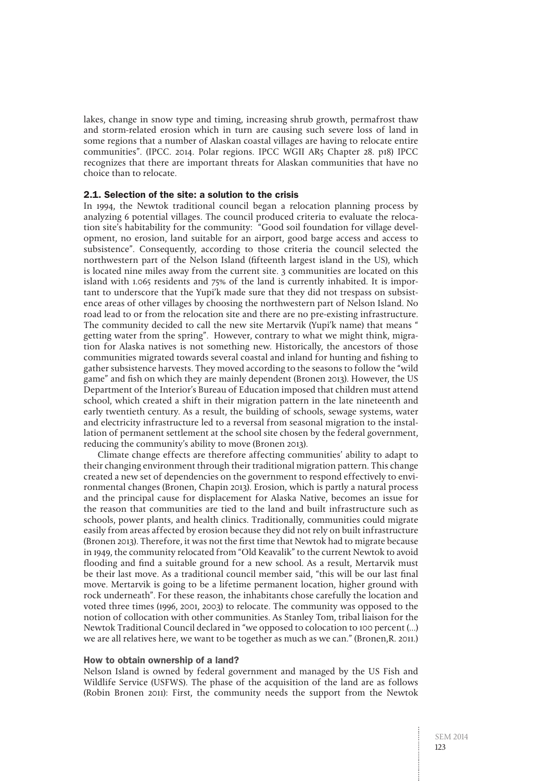lakes, change in snow type and timing, increasing shrub growth, permafrost thaw and storm-related erosion which in turn are causing such severe loss of land in some regions that a number of Alaskan coastal villages are having to relocate entire communities". (IPCC. 2014. Polar regions. IPCC WGII AR5 Chapter 28. p18) IPCC recognizes that there are important threats for Alaskan communities that have no choice than to relocate.

## 2.1. Selection of the site: a solution to the crisis

In 1994, the Newtok traditional council began a relocation planning process by analyzing 6 potential villages. The council produced criteria to evaluate the relocation site's habitability for the community: "Good soil foundation for village development, no erosion, land suitable for an airport, good barge access and access to subsistence". Consequently, according to those criteria the council selected the northwestern part of the Nelson Island (fifteenth largest island in the US), which is located nine miles away from the current site. 3 communities are located on this island with 1.065 residents and 75% of the land is currently inhabited. It is important to underscore that the Yupi'k made sure that they did not trespass on subsistence areas of other villages by choosing the northwestern part of Nelson Island. No road lead to or from the relocation site and there are no pre-existing infrastructure. The community decided to call the new site Mertarvik (Yupi'k name) that means " getting water from the spring". However, contrary to what we might think, migration for Alaska natives is not something new. Historically, the ancestors of those communities migrated towards several coastal and inland for hunting and fishing to gather subsistence harvests. They moved according to the seasons to follow the "wild game" and fish on which they are mainly dependent (Bronen 2013). However, the US Department of the Interior's Bureau of Education imposed that children must attend school, which created a shift in their migration pattern in the late nineteenth and early twentieth century. As a result, the building of schools, sewage systems, water and electricity infrastructure led to a reversal from seasonal migration to the installation of permanent settlement at the school site chosen by the federal government, reducing the community's ability to move (Bronen 2013).

Climate change effects are therefore affecting communities' ability to adapt to their changing environment through their traditional migration pattern. This change created a new set of dependencies on the government to respond effectively to environmental changes (Bronen, Chapin 2013). Erosion, which is partly a natural process and the principal cause for displacement for Alaska Native, becomes an issue for the reason that communities are tied to the land and built infrastructure such as schools, power plants, and health clinics. Traditionally, communities could migrate easily from areas affected by erosion because they did not rely on built infrastructure (Bronen 2013). Therefore, it was not the first time that Newtok had to migrate because in 1949, the community relocated from "Old Keavalik" to the current Newtok to avoid flooding and find a suitable ground for a new school. As a result, Mertarvik must be their last move. As a traditional council member said, "this will be our last final move. Mertarvik is going to be a lifetime permanent location, higher ground with rock underneath". For these reason, the inhabitants chose carefully the location and voted three times (1996, 2001, 2003) to relocate. The community was opposed to the notion of collocation with other communities. As Stanley Tom, tribal liaison for the Newtok Traditional Council declared in "we opposed to colocation to 100 percent (…) we are all relatives here, we want to be together as much as we can." (Bronen,R. 2011.)

#### How to obtain ownership of a land?

Nelson Island is owned by federal government and managed by the US Fish and Wildlife Service (USFWS). The phase of the acquisition of the land are as follows (Robin Bronen 2011): First, the community needs the support from the Newtok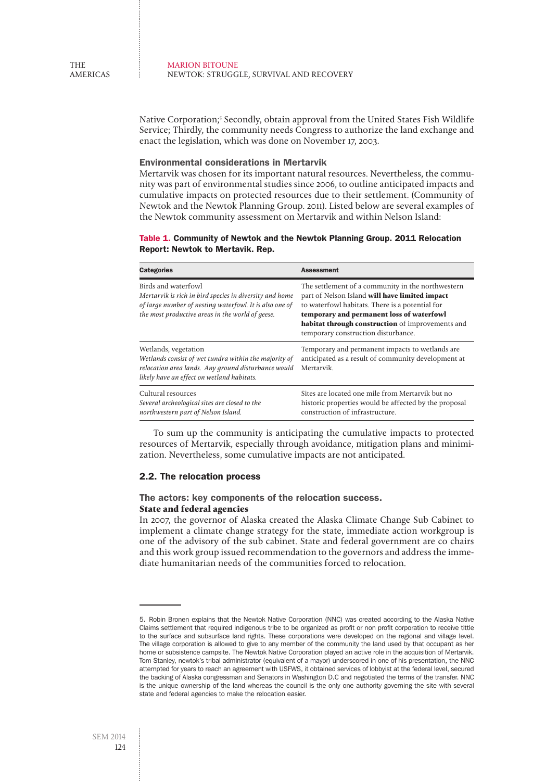Native Corporation;<sup>5</sup> Secondly, obtain approval from the United States Fish Wildlife Service; Thirdly, the community needs Congress to authorize the land exchange and enact the legislation, which was done on November 17, 2003.

## Environmental considerations in Mertarvik

Mertarvik was chosen for its important natural resources. Nevertheless, the community was part of environmental studies since 2006, to outline anticipated impacts and cumulative impacts on protected resources due to their settlement. (Community of Newtok and the Newtok Planning Group. 2011). Listed below are several examples of the Newtok community assessment on Mertarvik and within Nelson Island:

## Table 1. Community of Newtok and the Newtok Planning Group. 2011 Relocation Report: Newtok to Mertavik. Rep.

| <b>Categories</b>                                                                                                                                                                             | <b>Assessment</b>                                                                                                                                                                                                                                                                              |
|-----------------------------------------------------------------------------------------------------------------------------------------------------------------------------------------------|------------------------------------------------------------------------------------------------------------------------------------------------------------------------------------------------------------------------------------------------------------------------------------------------|
| Birds and waterfowl<br>Mertarvik is rich in bird species in diversity and home<br>of large number of nesting waterfowl. It is also one of<br>the most productive areas in the world of geese. | The settlement of a community in the northwestern<br>part of Nelson Island will have limited impact<br>to waterfowl habitats. There is a potential for<br>temporary and permanent loss of waterfowl<br>habitat through construction of improvements and<br>temporary construction disturbance. |
| Wetlands, vegetation<br>Wetlands consist of wet tundra within the majority of<br>relocation area lands. Any ground disturbance would<br>likely have an effect on wetland habitats.            | Temporary and permanent impacts to wetlands are<br>anticipated as a result of community development at<br>Mertarvik.                                                                                                                                                                           |
| Cultural resources<br>Several archeological sites are closed to the<br>northwestern part of Nelson Island.                                                                                    | Sites are located one mile from Mertarvik but no<br>historic properties would be affected by the proposal<br>construction of infrastructure.                                                                                                                                                   |

To sum up the community is anticipating the cumulative impacts to protected resources of Mertarvik, especially through avoidance, mitigation plans and minimization. Nevertheless, some cumulative impacts are not anticipated.

## 2.2. The relocation process

# The actors: key components of the relocation success. **State and federal agencies**

In 2007, the governor of Alaska created the Alaska Climate Change Sub Cabinet to implement a climate change strategy for the state, immediate action workgroup is one of the advisory of the sub cabinet. State and federal government are co chairs and this work group issued recommendation to the governors and address the immediate humanitarian needs of the communities forced to relocation.

<sup>5.</sup> Robin Bronen explains that the Newtok Native Corporation (NNC) was created according to the Alaska Native Claims settlement that required indigenous tribe to be organized as profit or non profit corporation to receive tittle to the surface and subsurface land rights. These corporations were developed on the regional and village level. The village corporation is allowed to give to any member of the community the land used by that occupant as her home or subsistence campsite. The Newtok Native Corporation played an active role in the acquisition of Mertarvik. Tom Stanley, newtok's tribal administrator (equivalent of a mayor) underscored in one of his presentation, the NNC attempted for years to reach an agreement with USFWS, it obtained services of lobbyist at the federal level, secured the backing of Alaska congressman and Senators in Washington D.C and negotiated the terms of the transfer. NNC is the unique ownership of the land whereas the council is the only one authority governing the site with several state and federal agencies to make the relocation easier.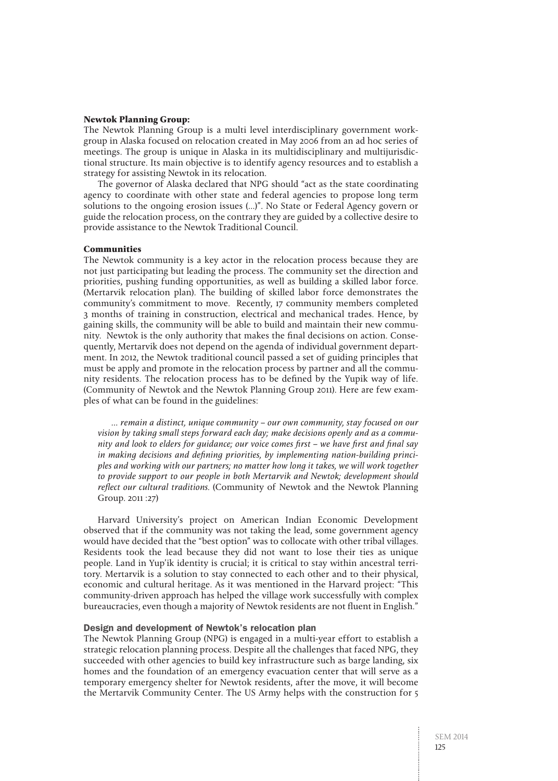#### **Newtok Planning Group:**

The Newtok Planning Group is a multi level interdisciplinary government workgroup in Alaska focused on relocation created in May 2006 from an ad hoc series of meetings. The group is unique in Alaska in its multidisciplinary and multijurisdictional structure. Its main objective is to identify agency resources and to establish a strategy for assisting Newtok in its relocation.

The governor of Alaska declared that NPG should "act as the state coordinating agency to coordinate with other state and federal agencies to propose long term solutions to the ongoing erosion issues (…)". No State or Federal Agency govern or guide the relocation process, on the contrary they are guided by a collective desire to provide assistance to the Newtok Traditional Council.

#### **Communities**

The Newtok community is a key actor in the relocation process because they are not just participating but leading the process. The community set the direction and priorities, pushing funding opportunities, as well as building a skilled labor force. (Mertarvik relocation plan). The building of skilled labor force demonstrates the community's commitment to move. Recently, 17 community members completed 3 months of training in construction, electrical and mechanical trades. Hence, by gaining skills, the community will be able to build and maintain their new community. Newtok is the only authority that makes the final decisions on action. Consequently, Mertarvik does not depend on the agenda of individual government department. In 2012, the Newtok traditional council passed a set of guiding principles that must be apply and promote in the relocation process by partner and all the community residents. The relocation process has to be defined by the Yupik way of life. (Community of Newtok and the Newtok Planning Group 2011). Here are few examples of what can be found in the guidelines:

… remain a distinct, unique community – our own community, stay focused on our vision by taking small steps forward each day; make decisions openly and as a community and look to elders for guidance; our voice comes first – we have first and final say in making decisions and defining priorities, by implementing nation-building principles and working with our partners; no matter how long it takes, we will work together to provide support to our people in both Mertarvik and Newtok; development should reflect our cultural traditions. (Community of Newtok and the Newtok Planning Group. 2011 :27)

Harvard University's project on American Indian Economic Development observed that if the community was not taking the lead, some government agency would have decided that the "best option" was to collocate with other tribal villages. Residents took the lead because they did not want to lose their ties as unique people. Land in Yup'ik identity is crucial; it is critical to stay within ancestral territory. Mertarvik is a solution to stay connected to each other and to their physical, economic and cultural heritage. As it was mentioned in the Harvard project: "This community-driven approach has helped the village work successfully with complex bureaucracies, even though a majority of Newtok residents are not fluent in English."

## Design and development of Newtok's relocation plan

The Newtok Planning Group (NPG) is engaged in a multi-year effort to establish a strategic relocation planning process. Despite all the challenges that faced NPG, they succeeded with other agencies to build key infrastructure such as barge landing, six homes and the foundation of an emergency evacuation center that will serve as a temporary emergency shelter for Newtok residents, after the move, it will become the Mertarvik Community Center. The US Army helps with the construction for 5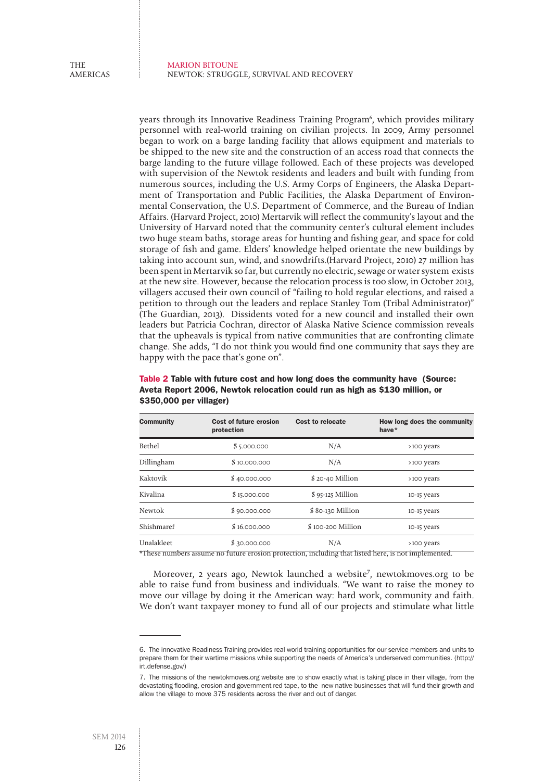years through its Innovative Readiness Training Program6 , which provides military personnel with real-world training on civilian projects. In 2009, Army personnel began to work on a barge landing facility that allows equipment and materials to be shipped to the new site and the construction of an access road that connects the barge landing to the future village followed. Each of these projects was developed with supervision of the Newtok residents and leaders and built with funding from numerous sources, including the U.S. Army Corps of Engineers, the Alaska Department of Transportation and Public Facilities, the Alaska Department of Environmental Conservation, the U.S. Department of Commerce, and the Bureau of Indian Affairs. (Harvard Project, 2010) Mertarvik will reflect the community's layout and the University of Harvard noted that the community center's cultural element includes two huge steam baths, storage areas for hunting and fishing gear, and space for cold storage of fish and game. Elders' knowledge helped orientate the new buildings by taking into account sun, wind, and snowdrifts.(Harvard Project, 2010) 27 million has been spent in Mertarvik so far, but currently no electric, sewage or water system exists at the new site. However, because the relocation process is too slow, in October 2013, villagers accused their own council of "failing to hold regular elections, and raised a petition to through out the leaders and replace Stanley Tom (Tribal Administrator)" (The Guardian, 2013). Dissidents voted for a new council and installed their own leaders but Patricia Cochran, director of Alaska Native Science commission reveals that the upheavals is typical from native communities that are confronting climate change. She adds, "I do not think you would find one community that says they are happy with the pace that's gone on".

| <b>Community</b>             | Cost of future erosion<br>protection | Cost to relocate  | How long does the community<br>have $*$ |
|------------------------------|--------------------------------------|-------------------|-----------------------------------------|
| Bethel                       | \$5.000.000                          | N/A               | >100 years                              |
| Dillingham                   | \$10.000.000                         | N/A               | >100 years                              |
| Kaktovik                     | \$40.000.000                         | \$20-40 Million   | >100 years                              |
| Kivalina                     | \$15.000.000                         | $$95-125$ Million | 10-15 years                             |
| Newtok                       | \$90.000.000                         | \$80-130 Million  | 10-15 years                             |
| Shishmaref                   | \$16,000,000                         | \$100-200 Million | 10-15 years                             |
| Unalakleet<br>$\overline{a}$ | \$30.000.000                         | N/A               | >100 years                              |

## Table 2 Table with future cost and how long does the community have (Source: Aveta Report 2006, Newtok relocation could run as high as \$130 million, or \$350,000 per villager)

\*These numbers assume no future erosion protection, including that listed here, is not implemented.

Moreover, 2 years ago, Newtok launched a website<sup>7</sup>, newtokmoves.org to be able to raise fund from business and individuals. "We want to raise the money to move our village by doing it the American way: hard work, community and faith. We don't want taxpayer money to fund all of our projects and stimulate what little

<sup>6.</sup> The innovative Readiness Training provides real world training opportunities for our service members and units to prepare them for their wartime missions while supporting the needs of America's underserved communities. (http:// irt.defense.gov/)

<sup>7.</sup> The missions of the newtokmoves.org website are to show exactly what is taking place in their village, from the devastating flooding, erosion and government red tape, to the new native businesses that will fund their growth and allow the village to move 375 residents across the river and out of danger.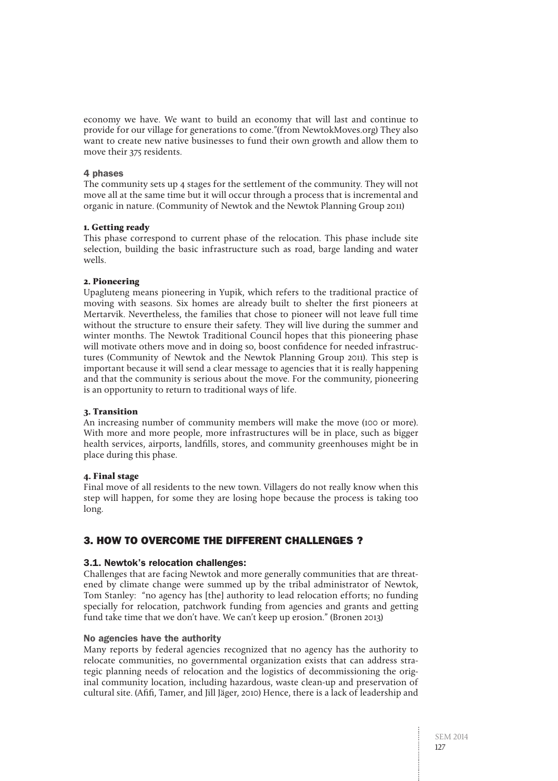economy we have. We want to build an economy that will last and continue to provide for our village for generations to come."(from NewtokMoves.org) They also want to create new native businesses to fund their own growth and allow them to move their 375 residents.

## 4 phases

The community sets up 4 stages for the settlement of the community. They will not move all at the same time but it will occur through a process that is incremental and organic in nature. (Community of Newtok and the Newtok Planning Group 2011)

## **1. Getting ready**

This phase correspond to current phase of the relocation. This phase include site selection, building the basic infrastructure such as road, barge landing and water wells.

## **2. Pioneering**

Upagluteng means pioneering in Yupik, which refers to the traditional practice of moving with seasons. Six homes are already built to shelter the first pioneers at Mertarvik. Nevertheless, the families that chose to pioneer will not leave full time without the structure to ensure their safety. They will live during the summer and winter months. The Newtok Traditional Council hopes that this pioneering phase will motivate others move and in doing so, boost confidence for needed infrastructures (Community of Newtok and the Newtok Planning Group 2011). This step is important because it will send a clear message to agencies that it is really happening and that the community is serious about the move. For the community, pioneering is an opportunity to return to traditional ways of life.

## **3. Transition**

An increasing number of community members will make the move (100 or more). With more and more people, more infrastructures will be in place, such as bigger health services, airports, landfills, stores, and community greenhouses might be in place during this phase.

## **4. Final stage**

Final move of all residents to the new town. Villagers do not really know when this step will happen, for some they are losing hope because the process is taking too long.

# 3. How to overcome the different challenges ?

## 3.1. Newtok's relocation challenges:

Challenges that are facing Newtok and more generally communities that are threatened by climate change were summed up by the tribal administrator of Newtok, Tom Stanley: "no agency has [the] authority to lead relocation efforts; no funding specially for relocation, patchwork funding from agencies and grants and getting fund take time that we don't have. We can't keep up erosion." (Bronen 2013)

## No agencies have the authority

Many reports by federal agencies recognized that no agency has the authority to relocate communities, no governmental organization exists that can address strategic planning needs of relocation and the logistics of decommissioning the original community location, including hazardous, waste clean-up and preservation of cultural site. (Afifi, Tamer, and Jill Jäger, 2010) Hence, there is a lack of leadership and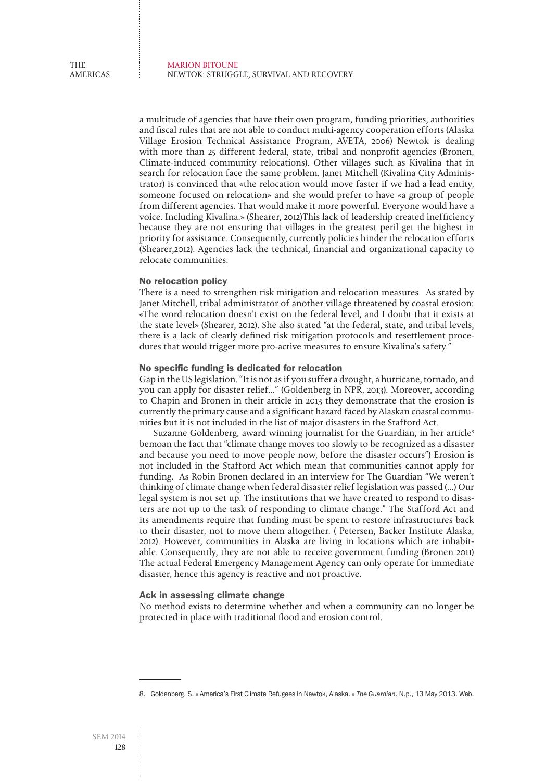a multitude of agencies that have their own program, funding priorities, authorities and fiscal rules that are not able to conduct multi-agency cooperation efforts (Alaska Village Erosion Technical Assistance Program, AVETA, 2006) Newtok is dealing with more than 25 different federal, state, tribal and nonprofit agencies (Bronen, Climate-induced community relocations). Other villages such as Kivalina that in search for relocation face the same problem. Janet Mitchell (Kivalina City Administrator) is convinced that «the relocation would move faster if we had a lead entity, someone focused on relocation» and she would prefer to have «a group of people from different agencies. That would make it more powerful. Everyone would have a voice. Including Kivalina.» (Shearer, 2012)This lack of leadership created inefficiency because they are not ensuring that villages in the greatest peril get the highest in priority for assistance. Consequently, currently policies hinder the relocation efforts (Shearer,2012). Agencies lack the technical, financial and organizational capacity to relocate communities.

## No relocation policy

There is a need to strengthen risk mitigation and relocation measures. As stated by Janet Mitchell, tribal administrator of another village threatened by coastal erosion: «The word relocation doesn't exist on the federal level, and I doubt that it exists at the state level» (Shearer, 2012). She also stated "at the federal, state, and tribal levels, there is a lack of clearly defined risk mitigation protocols and resettlement procedures that would trigger more pro-active measures to ensure Kivalina's safety.<sup>"</sup>

#### No specific funding is dedicated for relocation

Gap in the US legislation. "It is not as if you suffer a drought, a hurricane, tornado, and you can apply for disaster relief…" (Goldenberg in NPR, 2013). Moreover, according to Chapin and Bronen in their article in 2013 they demonstrate that the erosion is currently the primary cause and a significant hazard faced by Alaskan coastal communities but it is not included in the list of major disasters in the Stafford Act.

Suzanne Goldenberg, award winning journalist for the Guardian, in her article<sup>8</sup> bemoan the fact that "climate change moves too slowly to be recognized as a disaster and because you need to move people now, before the disaster occurs") Erosion is not included in the Stafford Act which mean that communities cannot apply for funding. As Robin Bronen declared in an interview for The Guardian "We weren't thinking of climate change when federal disaster relief legislation was passed (…) Our legal system is not set up. The institutions that we have created to respond to disasters are not up to the task of responding to climate change." The Stafford Act and its amendments require that funding must be spent to restore infrastructures back to their disaster, not to move them altogether. ( Petersen, Backer Institute Alaska, 2012). However, communities in Alaska are living in locations which are inhabitable. Consequently, they are not able to receive government funding (Bronen 2011) The actual Federal Emergency Management Agency can only operate for immediate disaster, hence this agency is reactive and not proactive.

## Ack in assessing climate change

No method exists to determine whether and when a community can no longer be protected in place with traditional flood and erosion control.

<sup>8.</sup> Goldenberg, S. « America's First Climate Refugees in Newtok, Alaska. » *The Guardian*. N.p., 13 May 2013. Web.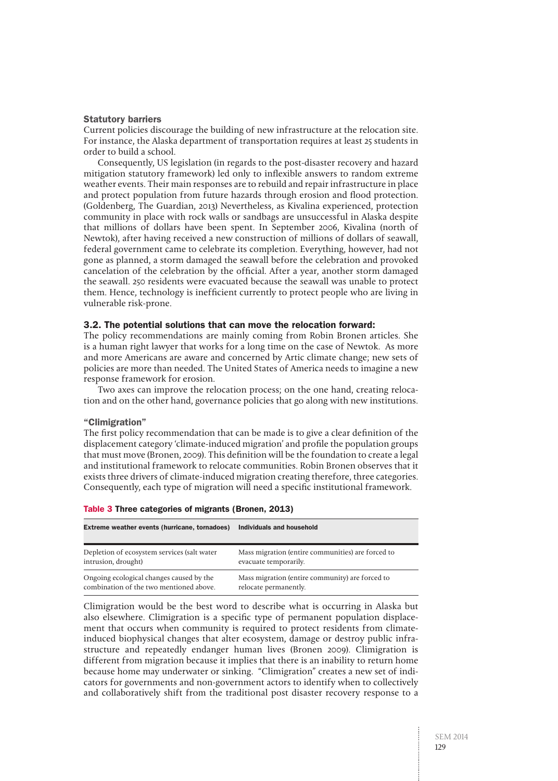#### Statutory barriers

Current policies discourage the building of new infrastructure at the relocation site. For instance, the Alaska department of transportation requires at least 25 students in order to build a school.

Consequently, US legislation (in regards to the post-disaster recovery and hazard mitigation statutory framework) led only to inflexible answers to random extreme weather events. Their main responses are to rebuild and repair infrastructure in place and protect population from future hazards through erosion and flood protection. (Goldenberg, The Guardian, 2013) Nevertheless, as Kivalina experienced, protection community in place with rock walls or sandbags are unsuccessful in Alaska despite that millions of dollars have been spent. In September 2006, Kivalina (north of Newtok), after having received a new construction of millions of dollars of seawall, federal government came to celebrate its completion. Everything, however, had not gone as planned, a storm damaged the seawall before the celebration and provoked cancelation of the celebration by the official. After a year, another storm damaged the seawall. 250 residents were evacuated because the seawall was unable to protect them. Hence, technology is inefficient currently to protect people who are living in vulnerable risk-prone.

#### 3.2. The potential solutions that can move the relocation forward:

The policy recommendations are mainly coming from Robin Bronen articles. She is a human right lawyer that works for a long time on the case of Newtok. As more and more Americans are aware and concerned by Artic climate change; new sets of policies are more than needed. The United States of America needs to imagine a new response framework for erosion.

Two axes can improve the relocation process; on the one hand, creating relocation and on the other hand, governance policies that go along with new institutions.

#### "Climigration"

The first policy recommendation that can be made is to give a clear definition of the displacement category 'climate-induced migration' and profile the population groups that must move (Bronen, 2009). This definition will be the foundation to create a legal and institutional framework to relocate communities. Robin Bronen observes that it exists three drivers of climate-induced migration creating therefore, three categories. Consequently, each type of migration will need a specific institutional framework.

| Extreme weather events (hurricane, tornadoes) | Individuals and household                         |
|-----------------------------------------------|---------------------------------------------------|
| Depletion of ecosystem services (salt water   | Mass migration (entire communities) are forced to |
| intrusion, drought)                           | evacuate temporarily.                             |
| Ongoing ecological changes caused by the      | Mass migration (entire community) are forced to   |
| combination of the two mentioned above.       | relocate permanently.                             |

#### Table 3 Three categories of migrants (Bronen, 2013)

Climigration would be the best word to describe what is occurring in Alaska but also elsewhere. Climigration is a specific type of permanent population displacement that occurs when community is required to protect residents from climateinduced biophysical changes that alter ecosystem, damage or destroy public infrastructure and repeatedly endanger human lives (Bronen 2009). Climigration is different from migration because it implies that there is an inability to return home because home may underwater or sinking. "Climigration" creates a new set of indicators for governments and non-government actors to identify when to collectively and collaboratively shift from the traditional post disaster recovery response to a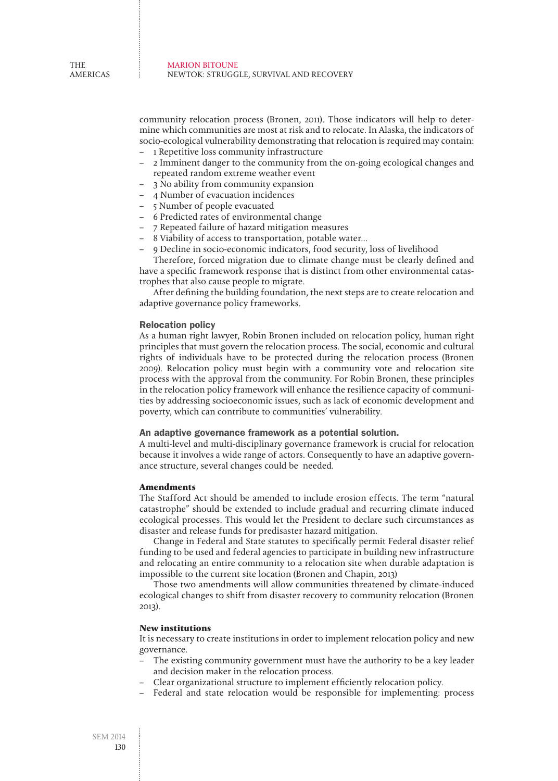community relocation process (Bronen, 2011). Those indicators will help to determine which communities are most at risk and to relocate. In Alaska, the indicators of socio-ecological vulnerability demonstrating that relocation is required may contain:

- 1 Repetitive loss community infrastructure
- 2 Imminent danger to the community from the on-going ecological changes and repeated random extreme weather event
- 3 No ability from community expansion
- 4 Number of evacuation incidences
- 5 Number of people evacuated
- 6 Predicted rates of environmental change
- 7 Repeated failure of hazard mitigation measures
- 8 Viability of access to transportation, potable water…
- 9 Decline in socio-economic indicators, food security, loss of livelihood

Therefore, forced migration due to climate change must be clearly defined and have a specific framework response that is distinct from other environmental catastrophes that also cause people to migrate.

After defining the building foundation, the next steps are to create relocation and adaptive governance policy frameworks.

#### Relocation policy

As a human right lawyer, Robin Bronen included on relocation policy, human right principles that must govern the relocation process. The social, economic and cultural rights of individuals have to be protected during the relocation process (Bronen 2009). Relocation policy must begin with a community vote and relocation site process with the approval from the community. For Robin Bronen, these principles in the relocation policy framework will enhance the resilience capacity of communities by addressing socioeconomic issues, such as lack of economic development and poverty, which can contribute to communities' vulnerability.

#### An adaptive governance framework as a potential solution.

A multi-level and multi-disciplinary governance framework is crucial for relocation because it involves a wide range of actors. Consequently to have an adaptive governance structure, several changes could be needed.

## **Amendments**

The Stafford Act should be amended to include erosion effects. The term "natural catastrophe" should be extended to include gradual and recurring climate induced ecological processes. This would let the President to declare such circumstances as disaster and release funds for predisaster hazard mitigation.

Change in Federal and State statutes to specifically permit Federal disaster relief funding to be used and federal agencies to participate in building new infrastructure and relocating an entire community to a relocation site when durable adaptation is impossible to the current site location (Bronen and Chapin, 2013)

Those two amendments will allow communities threatened by climate-induced ecological changes to shift from disaster recovery to community relocation (Bronen 2013).

## **New institutions**

It is necessary to create institutions in order to implement relocation policy and new governance.

- The existing community government must have the authority to be a key leader and decision maker in the relocation process.
- Clear organizational structure to implement efficiently relocation policy.
- Federal and state relocation would be responsible for implementing: process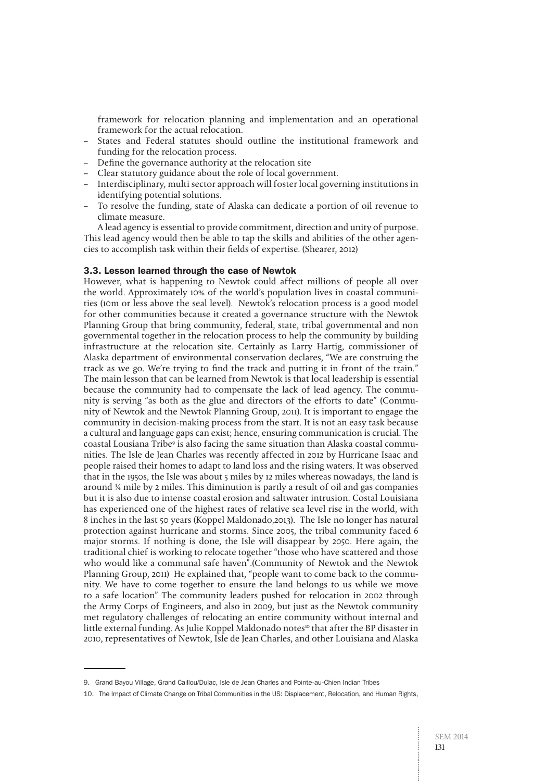framework for relocation planning and implementation and an operational framework for the actual relocation.

- States and Federal statutes should outline the institutional framework and funding for the relocation process.
- Define the governance authority at the relocation site
- Clear statutory guidance about the role of local government.
- Interdisciplinary, multi sector approach will foster local governing institutions in identifying potential solutions.
- To resolve the funding, state of Alaska can dedicate a portion of oil revenue to climate measure.

A lead agency is essential to provide commitment, direction and unity of purpose. This lead agency would then be able to tap the skills and abilities of the other agencies to accomplish task within their fields of expertise. (Shearer, 2012)

## 3.3. Lesson learned through the case of Newtok

However, what is happening to Newtok could affect millions of people all over the world. Approximately 10% of the world's population lives in coastal communities (10m or less above the seal level). Newtok's relocation process is a good model for other communities because it created a governance structure with the Newtok Planning Group that bring community, federal, state, tribal governmental and non governmental together in the relocation process to help the community by building infrastructure at the relocation site. Certainly as Larry Hartig, commissioner of Alaska department of environmental conservation declares, "We are construing the track as we go. We're trying to find the track and putting it in front of the train." The main lesson that can be learned from Newtok is that local leadership is essential because the community had to compensate the lack of lead agency. The community is serving "as both as the glue and directors of the efforts to date" (Community of Newtok and the Newtok Planning Group, 2011). It is important to engage the community in decision-making process from the start. It is not an easy task because a cultural and language gaps can exist; hence, ensuring communication is crucial. The coastal Lousiana Tribe<sup>9</sup> is also facing the same situation than Alaska coastal communities. The Isle de Jean Charles was recently affected in 2012 by Hurricane Isaac and people raised their homes to adapt to land loss and the rising waters. It was observed that in the 1950s, the Isle was about 5 miles by 12 miles whereas nowadays, the land is around ¼ mile by 2 miles. This diminution is partly a result of oil and gas companies but it is also due to intense coastal erosion and saltwater intrusion. Costal Louisiana has experienced one of the highest rates of relative sea level rise in the world, with 8 inches in the last 50 years (Koppel Maldonado,2013). The Isle no longer has natural protection against hurricane and storms. Since 2005, the tribal community faced 6 major storms. If nothing is done, the Isle will disappear by 2050. Here again, the traditional chief is working to relocate together "those who have scattered and those who would like a communal safe haven".(Community of Newtok and the Newtok Planning Group, 2011) He explained that, "people want to come back to the community. We have to come together to ensure the land belongs to us while we move to a safe location" The community leaders pushed for relocation in 2002 through the Army Corps of Engineers, and also in 2009, but just as the Newtok community met regulatory challenges of relocating an entire community without internal and little external funding. As Julie Koppel Maldonado notes<sup>10</sup> that after the BP disaster in 2010, representatives of Newtok, Isle de Jean Charles, and other Louisiana and Alaska

<sup>9.</sup> Grand Bayou Village, Grand Caillou/Dulac, Isle de Jean Charles and Pointe-au-Chien Indian Tribes

<sup>10.</sup> The Impact of Climate Change on Tribal Communities in the US: Displacement, Relocation, and Human Rights,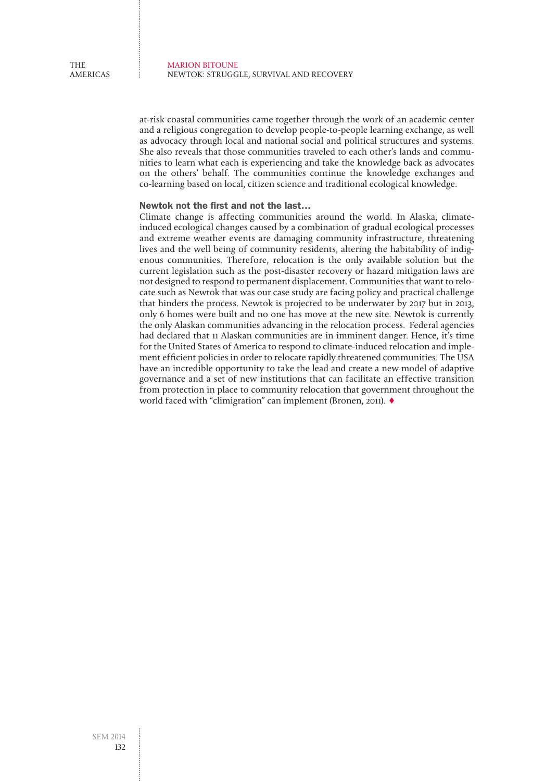at-risk coastal communities came together through the work of an academic center and a religious congregation to develop people-to-people learning exchange, as well as advocacy through local and national social and political structures and systems. She also reveals that those communities traveled to each other's lands and communities to learn what each is experiencing and take the knowledge back as advocates on the others' behalf. The communities continue the knowledge exchanges and co-learning based on local, citizen science and traditional ecological knowledge.

## Newtok not the first and not the last…

Climate change is affecting communities around the world. In Alaska, climateinduced ecological changes caused by a combination of gradual ecological processes and extreme weather events are damaging community infrastructure, threatening lives and the well being of community residents, altering the habitability of indigenous communities. Therefore, relocation is the only available solution but the current legislation such as the post-disaster recovery or hazard mitigation laws are not designed to respond to permanent displacement. Communities that want to relocate such as Newtok that was our case study are facing policy and practical challenge that hinders the process. Newtok is projected to be underwater by 2017 but in 2013, only 6 homes were built and no one has move at the new site. Newtok is currently the only Alaskan communities advancing in the relocation process. Federal agencies had declared that 11 Alaskan communities are in imminent danger. Hence, it's time for the United States of America to respond to climate-induced relocation and implement efficient policies in order to relocate rapidly threatened communities. The USA have an incredible opportunity to take the lead and create a new model of adaptive governance and a set of new institutions that can facilitate an effective transition from protection in place to community relocation that government throughout the world faced with "climigration" can implement (Bronen, 2011). ♦